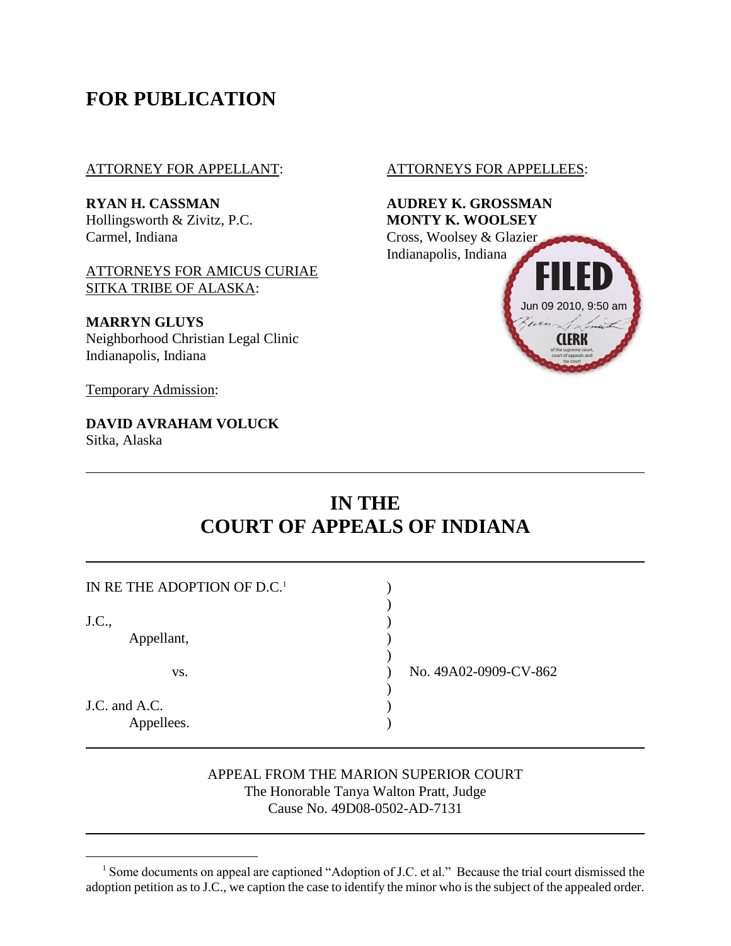## **FOR PUBLICATION**

#### ATTORNEY FOR APPELLANT: ATTORNEYS FOR APPELLEES:

Hollingsworth & Zivitz, P.C. **MONTY K. WOOLSEY** Carmel, Indiana Cross, Woolsey & Glazier

ATTORNEYS FOR AMICUS CURIAE SITKA TRIBE OF ALASKA:

**MARRYN GLUYS** Neighborhood Christian Legal Clinic Indianapolis, Indiana

Temporary Admission:

**DAVID AVRAHAM VOLUCK** Sitka, Alaska



# **IN THE COURT OF APPEALS OF INDIANA**

| IN RE THE ADOPTION OF D.C. <sup>1</sup> |                       |
|-----------------------------------------|-----------------------|
| J.C.,                                   |                       |
| Appellant,                              |                       |
| VS.                                     | No. 49A02-0909-CV-862 |
| J.C. and A.C.<br>Appellees.             |                       |

#### APPEAL FROM THE MARION SUPERIOR COURT The Honorable Tanya Walton Pratt, Judge Cause No. 49D08-0502-AD-7131

<sup>&</sup>lt;sup>1</sup> Some documents on appeal are captioned "Adoption of J.C. et al." Because the trial court dismissed the adoption petition as to J.C., we caption the case to identify the minor who is the subject of the appealed order.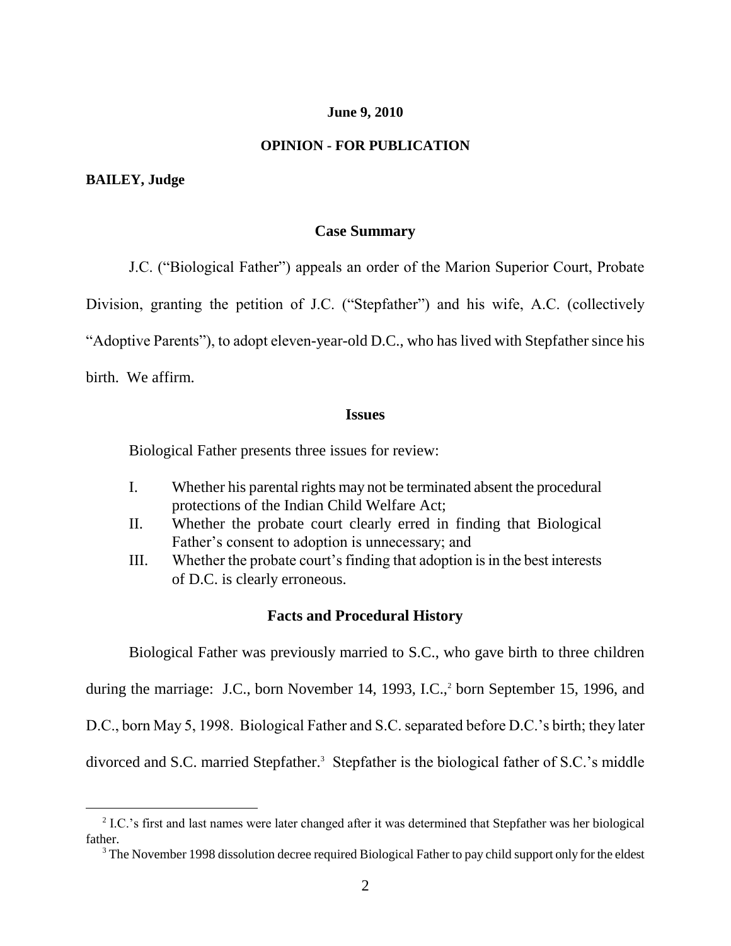#### **June 9, 2010**

#### **OPINION - FOR PUBLICATION**

#### **BAILEY, Judge**

#### **Case Summary**

J.C. ("Biological Father") appeals an order of the Marion Superior Court, Probate

Division, granting the petition of J.C. ("Stepfather") and his wife, A.C. (collectively

"Adoptive Parents"), to adopt eleven-year-old D.C., who has lived with Stepfather since his

birth. We affirm.

 $\overline{a}$ 

#### **Issues**

Biological Father presents three issues for review:

- I. Whether his parental rights may not be terminated absent the procedural protections of the Indian Child Welfare Act;
- II. Whether the probate court clearly erred in finding that Biological Father"s consent to adoption is unnecessary; and
- III. Whether the probate court"s finding that adoption is in the best interests of D.C. is clearly erroneous.

#### **Facts and Procedural History**

Biological Father was previously married to S.C., who gave birth to three children during the marriage: J.C., born November 14, 1993, I.C.,<sup>2</sup> born September 15, 1996, and D.C., born May 5, 1998. Biological Father and S.C. separated before D.C.'s birth; they later divorced and S.C. married Stepfather.<sup>3</sup> Stepfather is the biological father of S.C.'s middle

<sup>&</sup>lt;sup>2</sup> I.C.'s first and last names were later changed after it was determined that Stepfather was her biological father.

<sup>&</sup>lt;sup>3</sup> The November 1998 dissolution decree required Biological Father to pay child support only for the eldest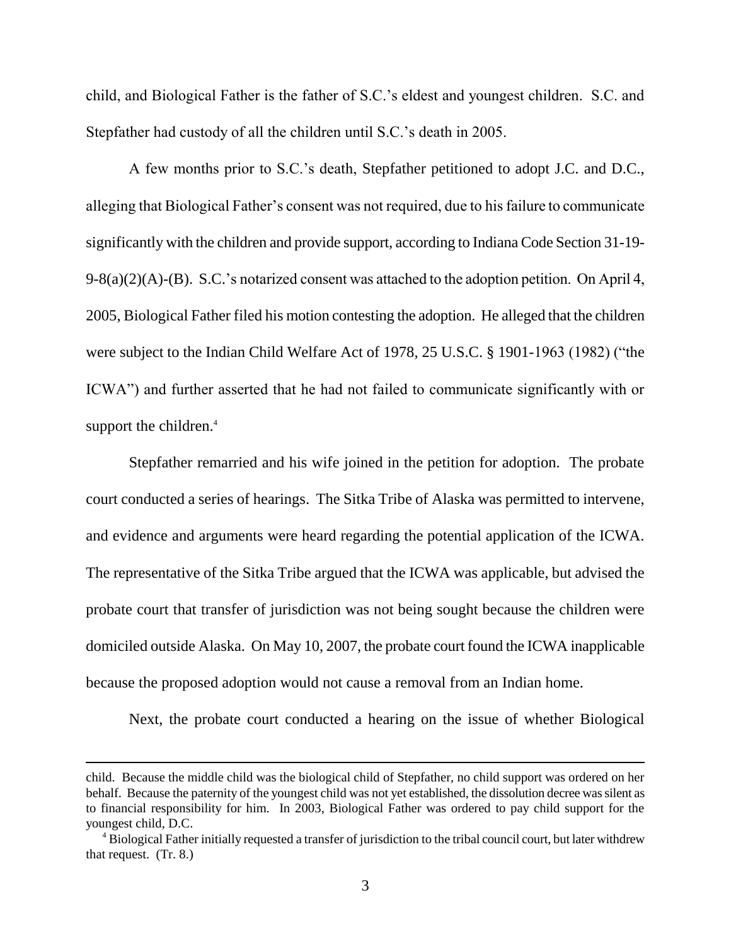child, and Biological Father is the father of S.C."s eldest and youngest children. S.C. and Stepfather had custody of all the children until S.C."s death in 2005.

A few months prior to S.C."s death, Stepfather petitioned to adopt J.C. and D.C., alleging that Biological Father"s consent was not required, due to his failure to communicate significantly with the children and provide support, according to Indiana Code Section 31-19- 9-8(a)(2)(A)-(B). S.C.'s notarized consent was attached to the adoption petition. On April 4, 2005, Biological Father filed his motion contesting the adoption. He alleged that the children were subject to the Indian Child Welfare Act of 1978, 25 U.S.C. § 1901-1963 (1982) ("the ICWA") and further asserted that he had not failed to communicate significantly with or support the children.<sup>4</sup>

Stepfather remarried and his wife joined in the petition for adoption. The probate court conducted a series of hearings. The Sitka Tribe of Alaska was permitted to intervene, and evidence and arguments were heard regarding the potential application of the ICWA. The representative of the Sitka Tribe argued that the ICWA was applicable, but advised the probate court that transfer of jurisdiction was not being sought because the children were domiciled outside Alaska. On May 10, 2007, the probate court found the ICWA inapplicable because the proposed adoption would not cause a removal from an Indian home.

Next, the probate court conducted a hearing on the issue of whether Biological

child. Because the middle child was the biological child of Stepfather, no child support was ordered on her behalf. Because the paternity of the youngest child was not yet established, the dissolution decree was silent as to financial responsibility for him. In 2003, Biological Father was ordered to pay child support for the youngest child, D.C.

<sup>4</sup> Biological Father initially requested a transfer of jurisdiction to the tribal council court, but later withdrew that request. (Tr. 8.)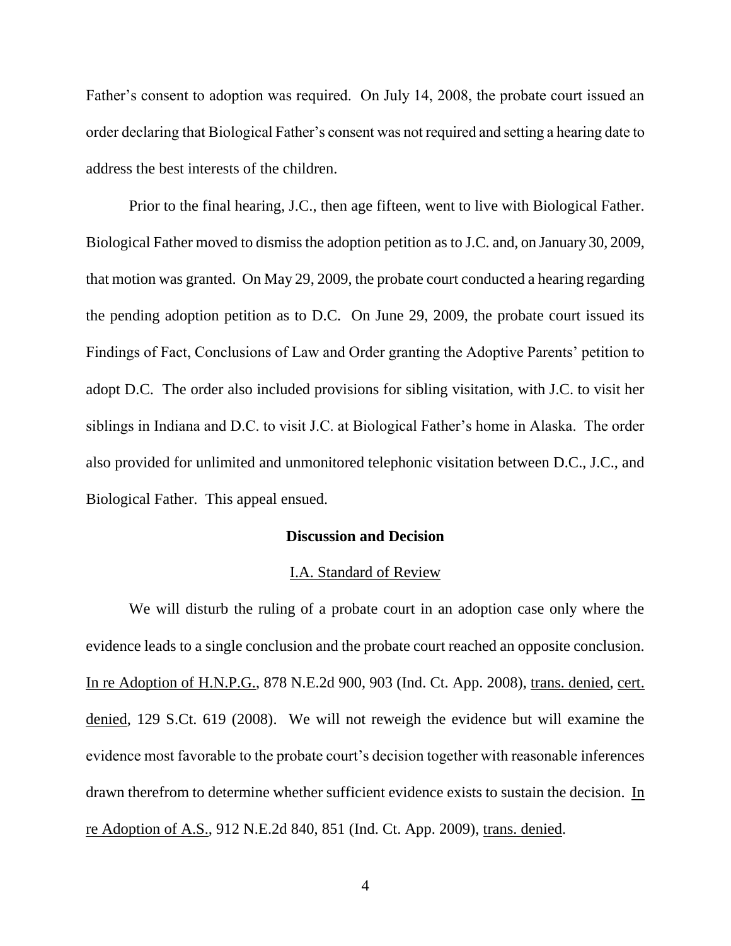Father's consent to adoption was required. On July 14, 2008, the probate court issued an order declaring that Biological Father"s consent was not required and setting a hearing date to address the best interests of the children.

Prior to the final hearing, J.C., then age fifteen, went to live with Biological Father. Biological Father moved to dismiss the adoption petition as to J.C. and, on January 30, 2009, that motion was granted. On May 29, 2009, the probate court conducted a hearing regarding the pending adoption petition as to D.C. On June 29, 2009, the probate court issued its Findings of Fact, Conclusions of Law and Order granting the Adoptive Parents' petition to adopt D.C. The order also included provisions for sibling visitation, with J.C. to visit her siblings in Indiana and D.C. to visit J.C. at Biological Father"s home in Alaska. The order also provided for unlimited and unmonitored telephonic visitation between D.C., J.C., and Biological Father. This appeal ensued.

### **Discussion and Decision**

#### I.A. Standard of Review

We will disturb the ruling of a probate court in an adoption case only where the evidence leads to a single conclusion and the probate court reached an opposite conclusion. In re Adoption of H.N.P.G., 878 N.E.2d 900, 903 (Ind. Ct. App. 2008), trans. denied, cert. denied, 129 S.Ct. 619 (2008). We will not reweigh the evidence but will examine the evidence most favorable to the probate court"s decision together with reasonable inferences drawn therefrom to determine whether sufficient evidence exists to sustain the decision. In re Adoption of A.S., 912 N.E.2d 840, 851 (Ind. Ct. App. 2009), trans. denied.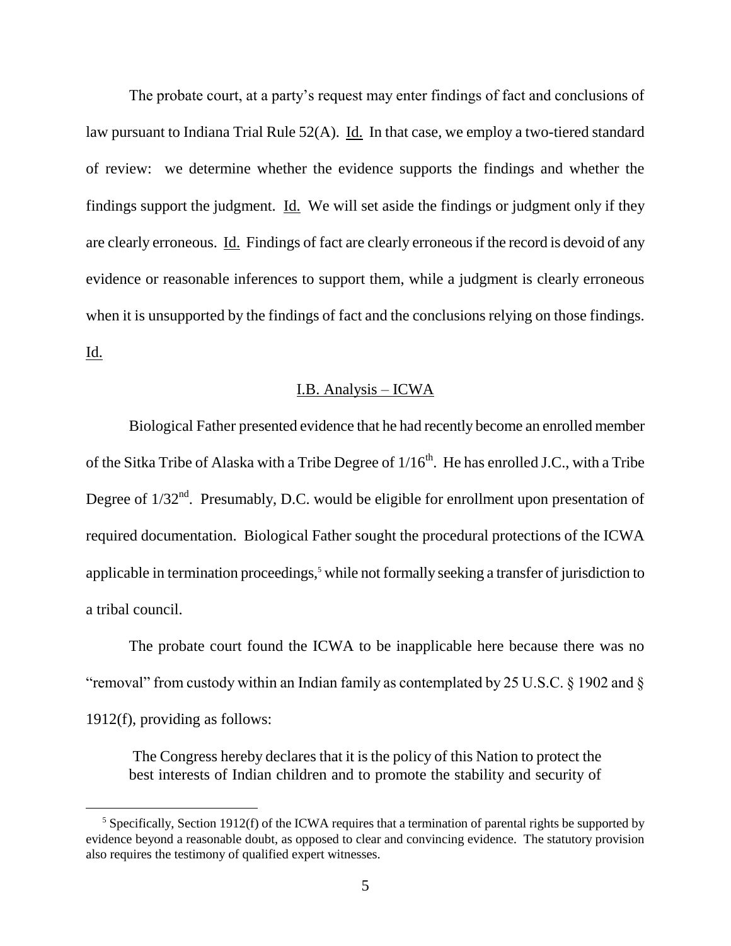The probate court, at a party's request may enter findings of fact and conclusions of law pursuant to Indiana Trial Rule 52(A). Id. In that case, we employ a two-tiered standard of review: we determine whether the evidence supports the findings and whether the findings support the judgment. Id. We will set aside the findings or judgment only if they are clearly erroneous. Id. Findings of fact are clearly erroneous if the record is devoid of any evidence or reasonable inferences to support them, while a judgment is clearly erroneous when it is unsupported by the findings of fact and the conclusions relying on those findings. Id.

## I.B. Analysis – ICWA

Biological Father presented evidence that he had recently become an enrolled member of the Sitka Tribe of Alaska with a Tribe Degree of  $1/16<sup>th</sup>$ . He has enrolled J.C., with a Tribe Degree of  $1/32<sup>nd</sup>$ . Presumably, D.C. would be eligible for enrollment upon presentation of required documentation. Biological Father sought the procedural protections of the ICWA applicable in termination proceedings,<sup>5</sup> while not formally seeking a transfer of jurisdiction to a tribal council.

The probate court found the ICWA to be inapplicable here because there was no "removal" from custody within an Indian family as contemplated by 25 U.S.C.  $\S$  1902 and  $\S$ 1912(f), providing as follows:

The Congress hereby declares that it is the policy of this Nation to protect the best interests of Indian children and to promote the stability and security of

 $\overline{a}$ 

 $<sup>5</sup>$  Specifically, Section 1912(f) of the ICWA requires that a termination of parental rights be supported by</sup> evidence beyond a reasonable doubt, as opposed to clear and convincing evidence. The statutory provision also requires the testimony of qualified expert witnesses.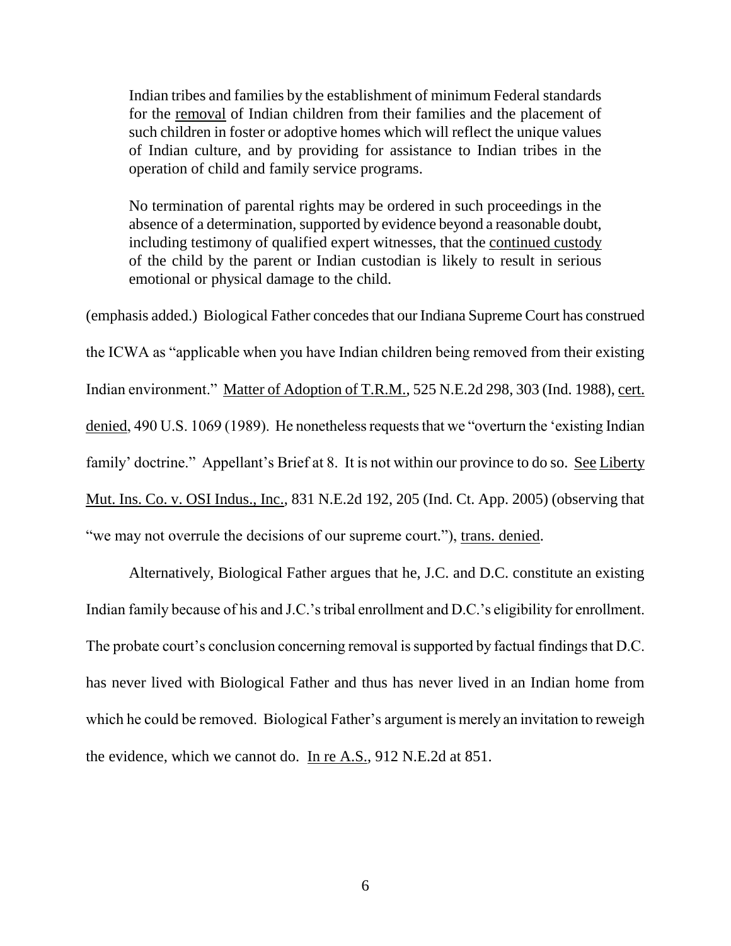Indian tribes and families by the establishment of minimum Federal standards for the removal of Indian children from their families and the placement of such children in foster or adoptive homes which will reflect the unique values of Indian culture, and by providing for assistance to Indian tribes in the operation of child and family service programs.

No termination of parental rights may be ordered in such proceedings in the absence of a determination, supported by evidence beyond a reasonable doubt, including testimony of qualified expert witnesses, that the continued custody of the child by the parent or Indian custodian is likely to result in serious emotional or physical damage to the child.

(emphasis added.) Biological Father concedes that our Indiana Supreme Court has construed the ICWA as "applicable when you have Indian children being removed from their existing Indian environment." Matter of Adoption of T.R.M., 525 N.E.2d 298, 303 (Ind. 1988), cert. denied, 490 U.S. 1069 (1989). He nonetheless requests that we "overturn the "existing Indian family' doctrine." Appellant's Brief at 8. It is not within our province to do so. See Liberty Mut. Ins. Co. v. OSI Indus., Inc., 831 N.E.2d 192, 205 (Ind. Ct. App. 2005) (observing that "we may not overrule the decisions of our supreme court."), trans. denied.

Alternatively, Biological Father argues that he, J.C. and D.C. constitute an existing Indian family because of his and J.C.'s tribal enrollment and D.C.'s eligibility for enrollment. The probate court's conclusion concerning removal is supported by factual findings that D.C. has never lived with Biological Father and thus has never lived in an Indian home from which he could be removed. Biological Father's argument is merely an invitation to reweigh the evidence, which we cannot do. In re A.S., 912 N.E.2d at 851.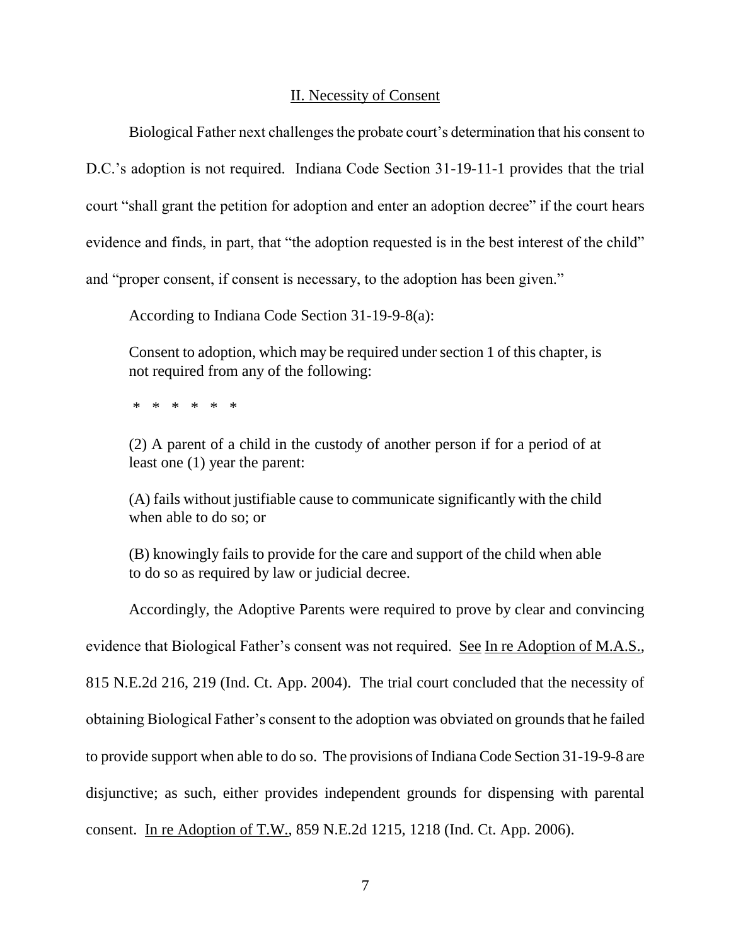#### II. Necessity of Consent

Biological Father next challenges the probate court's determination that his consent to D.C."s adoption is not required. Indiana Code Section 31-19-11-1 provides that the trial court "shall grant the petition for adoption and enter an adoption decree" if the court hears evidence and finds, in part, that "the adoption requested is in the best interest of the child" and "proper consent, if consent is necessary, to the adoption has been given."

According to Indiana Code Section 31-19-9-8(a):

Consent to adoption, which may be required under section 1 of this chapter, is not required from any of the following:

\* \* \* \* \* \*

(2) A parent of a child in the custody of another person if for a period of at least one (1) year the parent:

(A) fails without justifiable cause to communicate significantly with the child when able to do so; or

(B) knowingly fails to provide for the care and support of the child when able to do so as required by law or judicial decree.

Accordingly, the Adoptive Parents were required to prove by clear and convincing evidence that Biological Father's consent was not required. See In re Adoption of M.A.S., 815 N.E.2d 216, 219 (Ind. Ct. App. 2004). The trial court concluded that the necessity of obtaining Biological Father"s consent to the adoption was obviated on grounds that he failed to provide support when able to do so. The provisions of Indiana Code Section 31-19-9-8 are disjunctive; as such, either provides independent grounds for dispensing with parental consent. In re Adoption of T.W., 859 N.E.2d 1215, 1218 (Ind. Ct. App. 2006).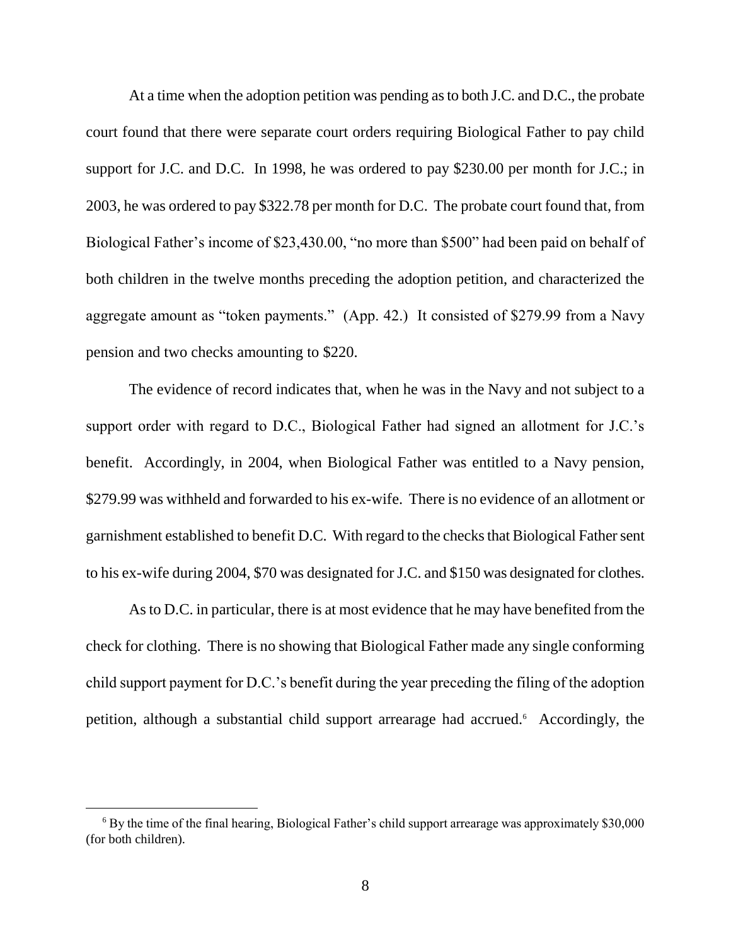At a time when the adoption petition was pending as to both J.C. and D.C., the probate court found that there were separate court orders requiring Biological Father to pay child support for J.C. and D.C. In 1998, he was ordered to pay \$230.00 per month for J.C.; in 2003, he was ordered to pay \$322.78 per month for D.C. The probate court found that, from Biological Father's income of \$23,430.00, "no more than \$500" had been paid on behalf of both children in the twelve months preceding the adoption petition, and characterized the aggregate amount as "token payments." (App. 42.) It consisted of \$279.99 from a Navy pension and two checks amounting to \$220.

The evidence of record indicates that, when he was in the Navy and not subject to a support order with regard to D.C., Biological Father had signed an allotment for J.C.'s benefit. Accordingly, in 2004, when Biological Father was entitled to a Navy pension, \$279.99 was withheld and forwarded to his ex-wife. There is no evidence of an allotment or garnishment established to benefit D.C. With regard to the checks that Biological Father sent to his ex-wife during 2004, \$70 was designated for J.C. and \$150 was designated for clothes.

As to D.C. in particular, there is at most evidence that he may have benefited from the check for clothing. There is no showing that Biological Father made any single conforming child support payment for D.C."s benefit during the year preceding the filing of the adoption petition, although a substantial child support arrearage had accrued.<sup>6</sup> Accordingly, the

 $\overline{a}$ 

 $6$  By the time of the final hearing, Biological Father's child support arrearage was approximately \$30,000 (for both children).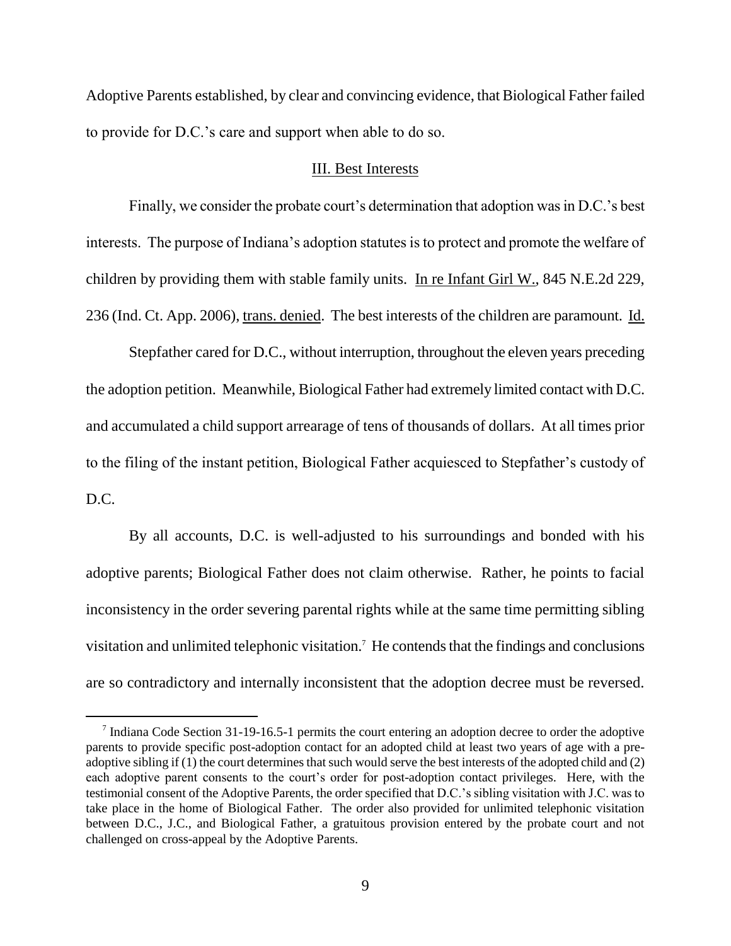Adoptive Parents established, by clear and convincing evidence, that Biological Father failed to provide for D.C."s care and support when able to do so.

#### III. Best Interests

Finally, we consider the probate court's determination that adoption was in D.C.'s best interests. The purpose of Indiana's adoption statutes is to protect and promote the welfare of children by providing them with stable family units. In re Infant Girl W., 845 N.E.2d 229, 236 (Ind. Ct. App. 2006), trans. denied. The best interests of the children are paramount. Id.

Stepfather cared for D.C., without interruption, throughout the eleven years preceding the adoption petition. Meanwhile, Biological Father had extremely limited contact with D.C. and accumulated a child support arrearage of tens of thousands of dollars. At all times prior to the filing of the instant petition, Biological Father acquiesced to Stepfather"s custody of D.C.

By all accounts, D.C. is well-adjusted to his surroundings and bonded with his adoptive parents; Biological Father does not claim otherwise. Rather, he points to facial inconsistency in the order severing parental rights while at the same time permitting sibling visitation and unlimited telephonic visitation.<sup>7</sup> He contends that the findings and conclusions are so contradictory and internally inconsistent that the adoption decree must be reversed.

<sup>&</sup>lt;sup>7</sup> Indiana Code Section 31-19-16.5-1 permits the court entering an adoption decree to order the adoptive parents to provide specific post-adoption contact for an adopted child at least two years of age with a preadoptive sibling if (1) the court determines that such would serve the best interests of the adopted child and (2) each adoptive parent consents to the court's order for post-adoption contact privileges. Here, with the testimonial consent of the Adoptive Parents, the order specified that D.C."s sibling visitation with J.C. was to take place in the home of Biological Father. The order also provided for unlimited telephonic visitation between D.C., J.C., and Biological Father, a gratuitous provision entered by the probate court and not challenged on cross-appeal by the Adoptive Parents.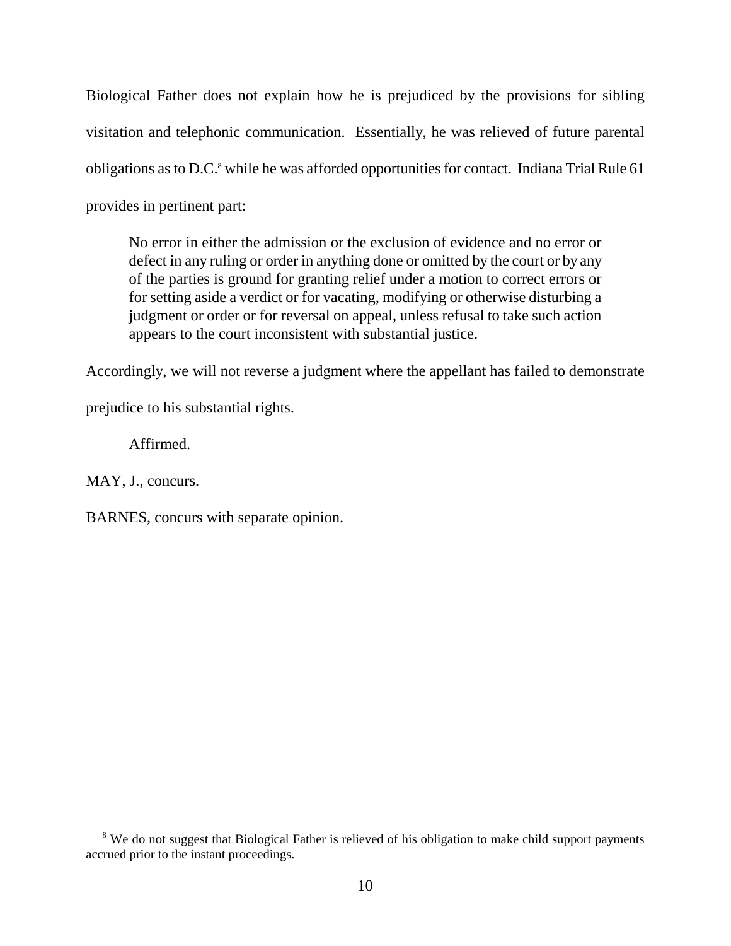Biological Father does not explain how he is prejudiced by the provisions for sibling visitation and telephonic communication. Essentially, he was relieved of future parental obligations as to D.C.<sup>8</sup> while he was afforded opportunities for contact. Indiana Trial Rule 61 provides in pertinent part:

No error in either the admission or the exclusion of evidence and no error or defect in any ruling or order in anything done or omitted by the court or by any of the parties is ground for granting relief under a motion to correct errors or for setting aside a verdict or for vacating, modifying or otherwise disturbing a judgment or order or for reversal on appeal, unless refusal to take such action appears to the court inconsistent with substantial justice.

Accordingly, we will not reverse a judgment where the appellant has failed to demonstrate

prejudice to his substantial rights.

Affirmed.

MAY, J., concurs.

BARNES, concurs with separate opinion.

<sup>&</sup>lt;sup>8</sup> We do not suggest that Biological Father is relieved of his obligation to make child support payments accrued prior to the instant proceedings.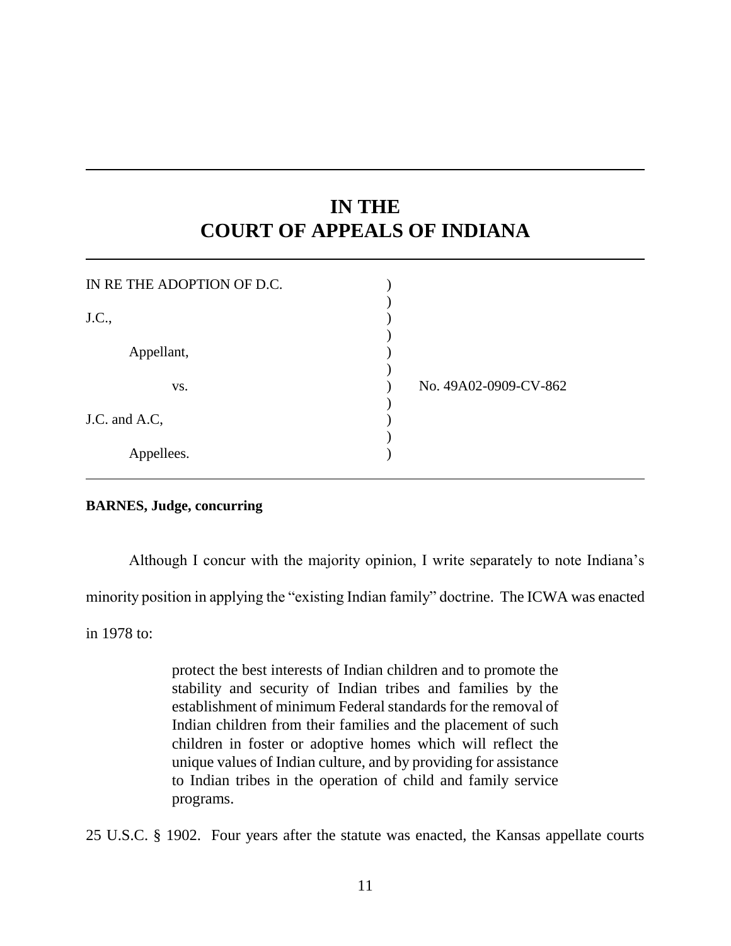# **IN THE COURT OF APPEALS OF INDIANA**

| IN RETHE ADOPTION OF D.C. |                       |
|---------------------------|-----------------------|
| J.C.,                     |                       |
| Appellant,                |                       |
| VS.                       | No. 49A02-0909-CV-862 |
| J.C. and A.C.             |                       |
| Appellees.                |                       |

#### **BARNES, Judge, concurring**

Although I concur with the majority opinion, I write separately to note Indiana"s

minority position in applying the "existing Indian family" doctrine. The ICWA was enacted

in 1978 to:

protect the best interests of Indian children and to promote the stability and security of Indian tribes and families by the establishment of minimum Federal standards for the removal of Indian children from their families and the placement of such children in foster or adoptive homes which will reflect the unique values of Indian culture, and by providing for assistance to Indian tribes in the operation of child and family service programs.

25 U.S.C. § 1902. Four years after the statute was enacted, the Kansas appellate courts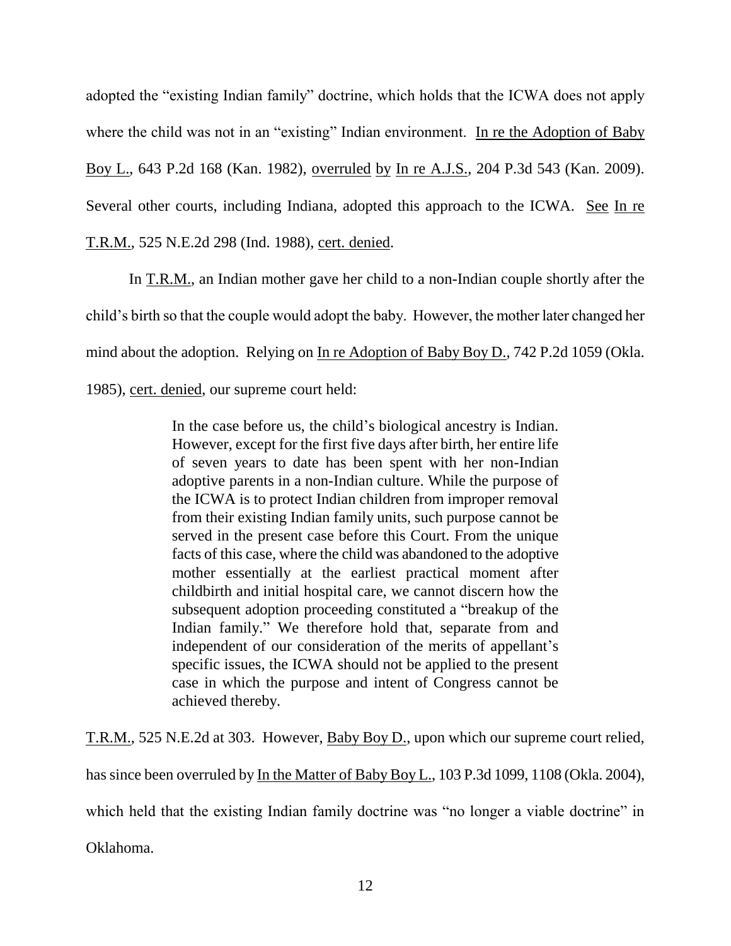adopted the "existing Indian family" doctrine, which holds that the ICWA does not apply where the child was not in an "existing" Indian environment. In re the Adoption of Baby Boy L., 643 P.2d 168 (Kan. 1982), overruled by In re A.J.S., 204 P.3d 543 (Kan. 2009). Several other courts, including Indiana, adopted this approach to the ICWA. See In re T.R.M., 525 N.E.2d 298 (Ind. 1988), cert. denied.

In T.R.M., an Indian mother gave her child to a non-Indian couple shortly after the child"s birth so that the couple would adopt the baby. However, the mother later changed her mind about the adoption. Relying on In re Adoption of Baby Boy D., 742 P.2d 1059 (Okla. 1985), cert. denied, our supreme court held:

> In the case before us, the child"s biological ancestry is Indian. However, except for the first five days after birth, her entire life of seven years to date has been spent with her non-Indian adoptive parents in a non-Indian culture. While the purpose of the ICWA is to protect Indian children from improper removal from their existing Indian family units, such purpose cannot be served in the present case before this Court. From the unique facts of this case, where the child was abandoned to the adoptive mother essentially at the earliest practical moment after childbirth and initial hospital care, we cannot discern how the subsequent adoption proceeding constituted a "breakup of the Indian family." We therefore hold that, separate from and independent of our consideration of the merits of appellant's specific issues, the ICWA should not be applied to the present case in which the purpose and intent of Congress cannot be achieved thereby.

T.R.M., 525 N.E.2d at 303. However, Baby Boy D., upon which our supreme court relied,

has since been overruled by In the Matter of Baby Boy L., 103 P.3d 1099, 1108 (Okla. 2004),

which held that the existing Indian family doctrine was "no longer a viable doctrine" in

Oklahoma.